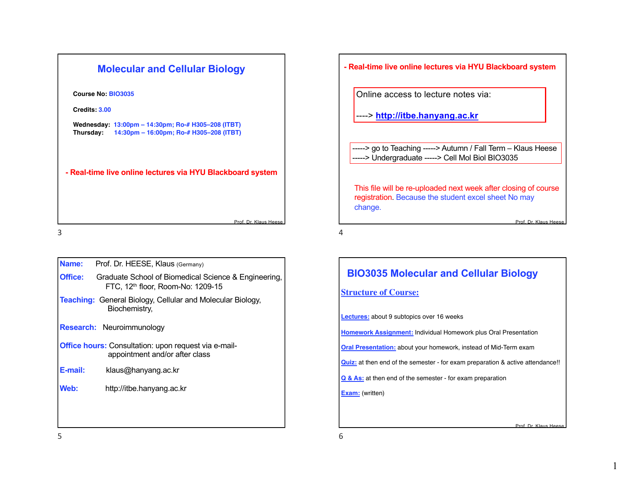| <b>Molecular and Cellular Biology</b>                                                                   |
|---------------------------------------------------------------------------------------------------------|
| Course No: BIO3035                                                                                      |
| Credits: 3.00                                                                                           |
| Wednesday: 13:00pm – 14:30pm; Ro-# H305–208 (ITBT)<br>Thursday: 14:30pm - 16:00pm; Ro-# H305-208 (ITBT) |
| - Real-time live online lectures via HYU Blackboard system                                              |
| Prof. Dr. Klaus Heese                                                                                   |

3

| Name:                                                                                         | Prof. Dr. HEESE, Klaus (Germany)                                                                      |  |  |
|-----------------------------------------------------------------------------------------------|-------------------------------------------------------------------------------------------------------|--|--|
| Office:                                                                                       | Graduate School of Biomedical Science & Engineering,<br>FTC, 12 <sup>th</sup> floor, Room-No: 1209-15 |  |  |
|                                                                                               | <b>Teaching:</b> General Biology, Cellular and Molecular Biology,<br>Biochemistry,                    |  |  |
|                                                                                               | <b>Research: Neuroimmunology</b>                                                                      |  |  |
| <b>Office hours:</b> Consultation: upon request via e-mail-<br>appointment and/or after class |                                                                                                       |  |  |
| E-mail:                                                                                       | klaus@hanyang.ac.kr                                                                                   |  |  |
| Web:                                                                                          | http://itbe.hanyang.ac.kr                                                                             |  |  |
|                                                                                               |                                                                                                       |  |  |
|                                                                                               |                                                                                                       |  |  |

### **- Real-time live online lectures via HYU Blackboard system**

Online access to lecture notes via:

----> **http://itbe.hanyang.ac.kr**

-----> go to Teaching -----> Autumn / Fall Term - Klaus Heese -----> Undergraduate -----> Cell Mol Biol BIO3035

This file will be re-uploaded next week after closing of course registration. Because the student excel sheet No may change.

4

## **BIO3035 Molecular and Cellular Biology**

### **Structure of Course:**

**Lectures:** about 9 subtopics over 16 weeks

**Homework Assignment:** Individual Homework plus Oral Presentation

**Oral Presentation:** about your homework, instead of Mid-Term exam

**Quiz:** at then end of the semester - for exam preparation & active attendance!!

**Q & As:** at then end of the semester - for exam preparation

**Exam:** (written)

6

Prof. Dr. Klaus Hees

Prof. Dr. Klaus Hees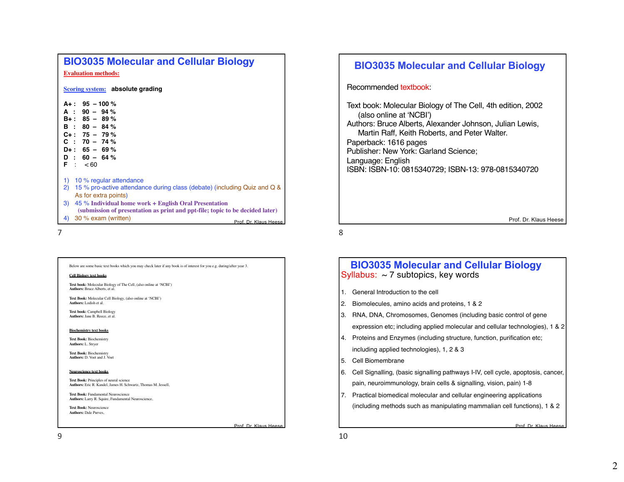## **BIO3035 Molecular and Cellular Biology Evaluation methods:**

**Scoring system: absolute grading**

| $A + : 95 - 100 %$<br>$A : 90 - 94%$<br>$B_{+}$ : 85 - 89 %<br>$B : 80 - 84%$<br>$C_{+}$ : 75 - 79 %<br>$C: 70 - 74%$<br>$D_{+}$ : 65 - 69 %<br>$D : 60 - 64%$<br>F : < 60 |                       |
|----------------------------------------------------------------------------------------------------------------------------------------------------------------------------|-----------------------|
| 1) 10 % regular attendance<br>2) 15 % pro-active attendance during class (debate) (including Quiz and Q &                                                                  |                       |
| As for extra points)<br>3)<br>45 % Individual home work + English Oral Presentation                                                                                        |                       |
| (submission of presentation as print and ppt-file; topic to be decided later)<br>30 % exam (written)<br>4)                                                                 | Prof. Dr. Klaus Heese |

7

Below are some basic text books which you may check later if any book is of interest for you e.g. during/after year 3.

#### **Cell Biology text books**

**Text book:** Molecular Biology of The Cell, (also online at 'NCBI') **Authors:** Bruce Alberts, et al.

**Text Book:** Molecular Cell Biology, (also online at 'NCBI') **Authors:** Lodish et al.

**Text book:** Campbell Biology **Authors:** Jane B. Reece, et al.

#### **Biochemistry text books**

**Text Book:** Biochemistry **Authors:** L. Stryer

**Text Book:** Biochemistry **Authors:** D. Voet and J. Voet

#### **Neuroscience text books**

**Text Book:** Principles of neural science **Authors:** Eric R. Kandel, James H. Schwartz, Thomas M. Jessell,

**Text Book:** Fundamental Neuroscience **Authors:** Larry R. Squire, Fundamental Neuroscience,

**Text Book:** Neuroscience **Authors:** Dale Purves,

## **BIO3035 Molecular and Cellular Biology**

### Recommended textbook:

Text book: Molecular Biology of The Cell, 4th edition, 2002 (also online at 'NCBI') Authors: Bruce Alberts, Alexander Johnson, Julian Lewis, Martin Raff, Keith Roberts, and Peter Walter. Paperback: 1616 pages Publisher: New York: Garland Science; Language: English ISBN: ISBN-10: 0815340729; ISBN-13: 978-0815340720

Prof. Dr. Klaus Heese

8

### **BIO3035 Molecular and Cellular Biology** Syllabus:  $\sim$  7 subtopics, key words

- 1. General Introduction to the cell
- 2. Biomolecules, amino acids and proteins, 1 & 2
- 3. RNA, DNA, Chromosomes, Genomes (including basic control of gene

expression etc; including applied molecular and cellular technologies), 1 & 2

- 4. Proteins and Enzymes (including structure, function, purification etc; including applied technologies), 1, 2 & 3
- 
- 5. Cell Biomembrane
- 6. Cell Signalling, (basic signalling pathways I-IV, cell cycle, apoptosis, cancer, pain, neuroimmunology, brain cells & signalling, vision, pain) 1-8
- 7. Practical biomedical molecular and cellular engineering applications (including methods such as manipulating mammalian cell functions), 1 & 2

Prof. Dr. Klaus Hees

Prof. Dr. Klaus Heese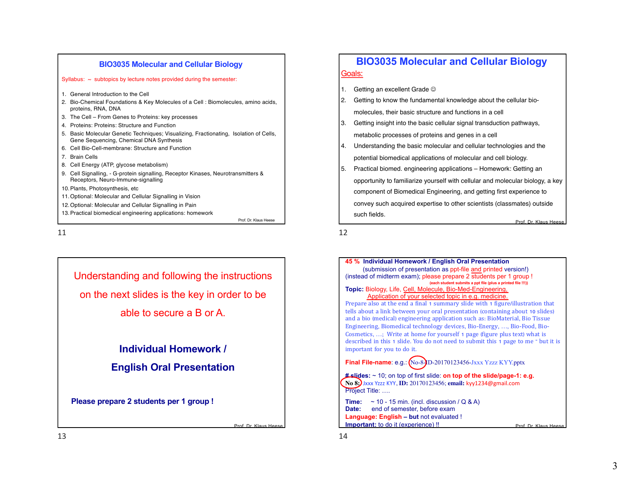

11

Understanding and following the instructions on the next slides is the key in order to be able to secure a B or A.

> **Individual Homework / English Oral Presentation**

**Please prepare 2 students per 1 group !**

# **BIO3035 Molecular and Cellular Biology** Goals:

- 1. Getting an excellent Grade  $\odot$
- 2. Getting to know the fundamental knowledge about the cellular biomolecules, their basic structure and functions in a cell
- 3. Getting insight into the basic cellular signal transduction pathways, metabolic processes of proteins and genes in a cell
- 4. Understanding the basic molecular and cellular technologies and the potential biomedical applications of molecular and cell biology.
- Prof. Dr. Klaus Hee 5. Practical biomed. engineering applications – Homework: Getting an opportunity to familiarize yourself with cellular and molecular biology, a key component of Biomedical Engineering, and getting first experience to convey such acquired expertise to other scientists (classmates) outside such fields.

12



Prof. Dr. Klaus Hee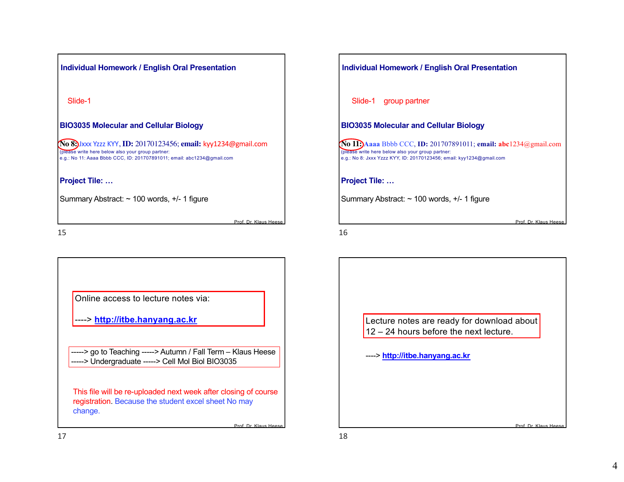

Prof. Dr. Klaus Hee

Prof. Dr. Klaus Heese

15

Online access to lecture notes via:

----> **[http://itbe.h](http://itbe.hanyang.ac.kr)anyang.ac.kr**

[-----> go to Teachin](http://itbe.hanyang.ac.kr)g -----> Autumn / Fall Term - Klaus Heese -----> Undergraduate -----> Cell Mol Biol BIO3035

This file will be re-uploaded next week after closing of course registration. Because the student excel sheet No may change.

| Individual Homework / English Oral Presentation                                                                                                                                               |  |  |  |
|-----------------------------------------------------------------------------------------------------------------------------------------------------------------------------------------------|--|--|--|
| Slide-1 group partner                                                                                                                                                                         |  |  |  |
| <b>BIO3035 Molecular and Cellular Biology</b>                                                                                                                                                 |  |  |  |
| No 11: Aaaa Bbbb CCC, ID: 201707891011; email: abc1234@gmail.com<br>(please write here below also your group partner:<br>e.g.: No 8: Jxxx Yzzz KYY, ID: 20170123456; email: kyy1234@gmail.com |  |  |  |
| <b>Project Tile: </b>                                                                                                                                                                         |  |  |  |
| Summary Abstract: $\sim$ 100 words, $+/-$ 1 figure                                                                                                                                            |  |  |  |
| Prof. Dr. Klaus Hees                                                                                                                                                                          |  |  |  |
| 16                                                                                                                                                                                            |  |  |  |

Lecture notes are ready for download about 12 – 24 hours before the next lecture.

----> **http://itbe.hanyang.ac.kr**

17

Prof. Dr. Klaus Hee